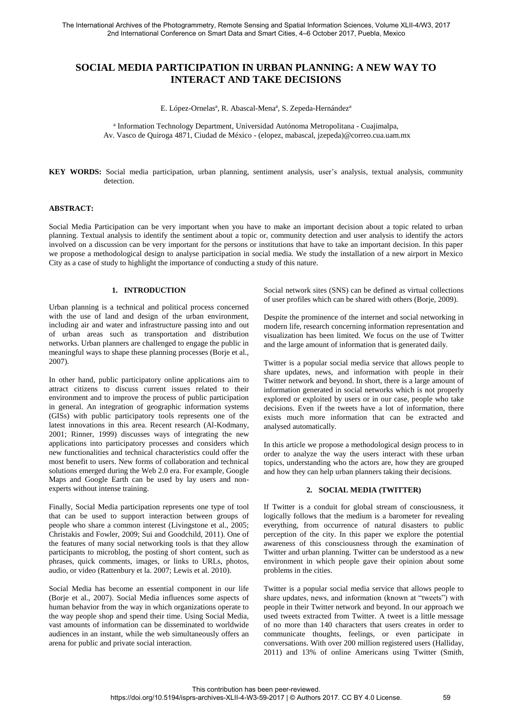# **SOCIAL MEDIA PARTICIPATION IN URBAN PLANNING: A NEW WAY TO INTERACT AND TAKE DECISIONS**

E. López-Ornelas<sup>a</sup>, R. Abascal-Mena<sup>a</sup>, S. Zepeda-Hernández<sup>a</sup>

a Information Technology Department, Universidad Autónoma Metropolitana - Cuajimalpa, Av. Vasco de Quiroga 4871, Ciudad de México - (elopez, mabascal, jzepeda)@correo.cua.uam.mx

**KEY WORDS:** Social media participation, urban planning, sentiment analysis, user's analysis, textual analysis, community detection.

#### **ABSTRACT:**

Social Media Participation can be very important when you have to make an important decision about a topic related to urban planning. Textual analysis to identify the sentiment about a topic or, community detection and user analysis to identify the actors involved on a discussion can be very important for the persons or institutions that have to take an important decision. In this paper we propose a methodological design to analyse participation in social media. We study the installation of a new airport in Mexico City as a case of study to highlight the importance of conducting a study of this nature.

# **1. INTRODUCTION**

Urban planning is a technical and political process concerned with the use of land and design of the urban environment, including air and water and infrastructure passing into and out of urban areas such as transportation and distribution networks. Urban planners are challenged to engage the public in meaningful ways to shape these planning processes (Borje et al., 2007).

In other hand, public participatory online applications aim to attract citizens to discuss current issues related to their environment and to improve the process of public participation in general. An integration of geographic information systems (GISs) with public participatory tools represents one of the latest innovations in this area. Recent research (Al-Kodmany, 2001; Rinner, 1999) discusses ways of integrating the new applications into participatory processes and considers which new functionalities and technical characteristics could offer the most benefit to users. New forms of collaboration and technical solutions emerged during the Web 2.0 era. For example, Google Maps and Google Earth can be used by lay users and nonexperts without intense training.

Finally, Social Media participation represents one type of tool that can be used to support interaction between groups of people who share a common interest (Livingstone et al., 2005; Christakis and Fowler, 2009; Sui and Goodchild, 2011). One of the features of many social networking tools is that they allow participants to microblog, the posting of short content, such as phrases, quick comments, images, or links to URLs, photos, audio, or video (Rattenbury et la. 2007; Lewis et al. 2010).

Social Media has become an essential component in our life (Borje et al., 2007). Social Media influences some aspects of human behavior from the way in which organizations operate to the way people shop and spend their time. Using Social Media, vast amounts of information can be disseminated to worldwide audiences in an instant, while the web simultaneously offers an arena for public and private social interaction.

Social network sites (SNS) can be defined as virtual collections of user profiles which can be shared with others (Borje, 2009).

Despite the prominence of the internet and social networking in modern life, research concerning information representation and visualization has been limited. We focus on the use of Twitter and the large amount of information that is generated daily.

Twitter is a popular social media service that allows people to share updates, news, and information with people in their Twitter network and beyond. In short, there is a large amount of information generated in social networks which is not properly explored or exploited by users or in our case, people who take decisions. Even if the tweets have a lot of information, there exists much more information that can be extracted and analysed automatically.

In this article we propose a methodological design process to in order to analyze the way the users interact with these urban topics, understanding who the actors are, how they are grouped and how they can help urban planners taking their decisions.

#### **2. SOCIAL MEDIA (TWITTER)**

If Twitter is a conduit for global stream of consciousness, it logically follows that the medium is a barometer for revealing everything, from occurrence of natural disasters to public perception of the city. In this paper we explore the potential awareness of this consciousness through the examination of Twitter and urban planning. Twitter can be understood as a new environment in which people gave their opinion about some problems in the cities.

Twitter is a popular social media service that allows people to share updates, news, and information (known at "tweets") with people in their Twitter network and beyond. In our approach we used tweets extracted from Twitter. A tweet is a little message of no more than 140 characters that users creates in order to communicate thoughts, feelings, or even participate in conversations. With over 200 million registered users (Halliday, 2011) and 13% of online Americans using Twitter (Smith,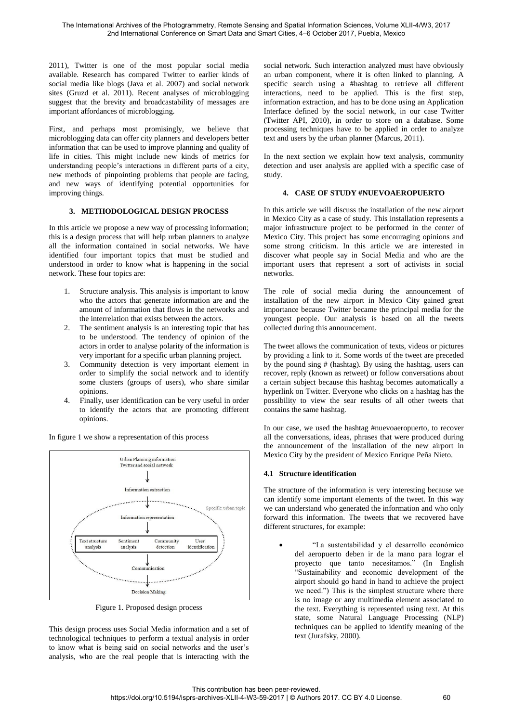2011), Twitter is one of the most popular social media available. Research has compared Twitter to earlier kinds of social media like blogs (Java et al. 2007) and social network sites (Gruzd et al. 2011). Recent analyses of microblogging suggest that the brevity and broadcastability of messages are important affordances of microblogging.

First, and perhaps most promisingly, we believe that microblogging data can offer city planners and developers better information that can be used to improve planning and quality of life in cities. This might include new kinds of metrics for understanding people's interactions in different parts of a city, new methods of pinpointing problems that people are facing, and new ways of identifying potential opportunities for improving things.

## **3. METHODOLOGICAL DESIGN PROCESS**

In this article we propose a new way of processing information; this is a design process that will help urban planners to analyze all the information contained in social networks. We have identified four important topics that must be studied and understood in order to know what is happening in the social network. These four topics are:

- 1. Structure analysis. This analysis is important to know who the actors that generate information are and the amount of information that flows in the networks and the interrelation that exists between the actors.
- 2. The sentiment analysis is an interesting topic that has to be understood. The tendency of opinion of the actors in order to analyse polarity of the information is very important for a specific urban planning project.
- 3. Community detection is very important element in order to simplify the social network and to identify some clusters (groups of users), who share similar opinions.
- 4. Finally, user identification can be very useful in order to identify the actors that are promoting different opinions.

In figure 1 we show a representation of this process



Figure 1. Proposed design process

This design process uses Social Media information and a set of technological techniques to perform a textual analysis in order to know what is being said on social networks and the user's analysis, who are the real people that is interacting with the

social network. Such interaction analyzed must have obviously an urban component, where it is often linked to planning. A specific search using a #hashtag to retrieve all different interactions, need to be applied. This is the first step, information extraction, and has to be done using an Application Interface defined by the social network, in our case Twitter (Twitter API, 2010), in order to store on a database. Some processing techniques have to be applied in order to analyze text and users by the urban planner (Marcus, 2011).

In the next section we explain how text analysis, community detection and user analysis are applied with a specific case of study.

## **4. CASE OF STUDY #NUEVOAEROPUERTO**

In this article we will discuss the installation of the new airport in Mexico City as a case of study. This installation represents a major infrastructure project to be performed in the center of Mexico City. This project has some encouraging opinions and some strong criticism. In this article we are interested in discover what people say in Social Media and who are the important users that represent a sort of activists in social networks.

The role of social media during the announcement of installation of the new airport in Mexico City gained great importance because Twitter became the principal media for the youngest people. Our analysis is based on all the tweets collected during this announcement.

The tweet allows the communication of texts, videos or pictures by providing a link to it. Some words of the tweet are preceded by the pound sing # (hashtag). By using the hashtag, users can recover, reply (known as retweet) or follow conversations about a certain subject because this hashtag becomes automatically a hyperlink on Twitter. Everyone who clicks on a hashtag has the possibility to view the sear results of all other tweets that contains the same hashtag.

In our case, we used the hashtag #nuevoaeropuerto, to recover all the conversations, ideas, phrases that were produced during the announcement of the installation of the new airport in Mexico City by the president of Mexico Enrique Peña Nieto.

#### **4.1 Structure identification**

The structure of the information is very interesting because we can identify some important elements of the tweet. In this way we can understand who generated the information and who only forward this information. The tweets that we recovered have different structures, for example:

 "La sustentabilidad y el desarrollo económico del aeropuerto deben ir de la mano para lograr el proyecto que tanto necesitamos." (In English "Sustainability and economic development of the airport should go hand in hand to achieve the project we need.") This is the simplest structure where there is no image or any multimedia element associated to the text. Everything is represented using text. At this state, some Natural Language Processing (NLP) techniques can be applied to identify meaning of the text (Jurafsky, 2000).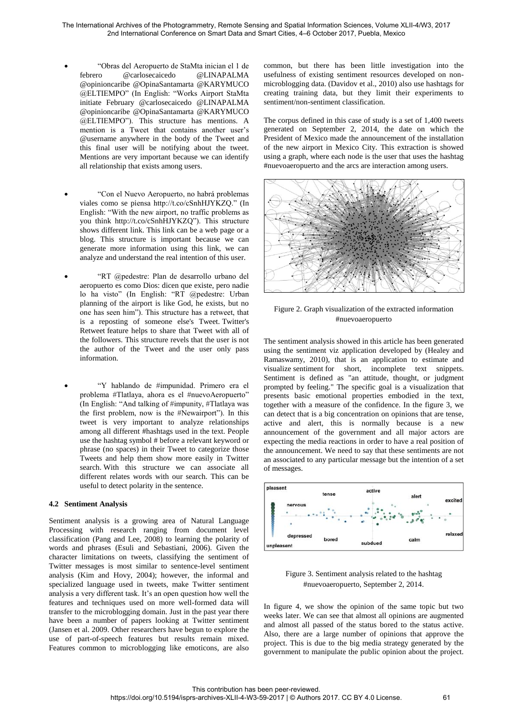- "Obras del Aeropuerto de StaMta inician el 1 de febrero @carlosecaicedo @opinioncaribe @OpinaSantamarta @KARYMUCO @ELTIEMPO" (In English: "Works Airport StaMta initiate February @carlosecaicedo @LINAPALMA @opinioncaribe @OpinaSantamarta @KARYMUCO @ELTIEMPO"). This structure has mentions. A mention is a Tweet that contains another user's @username anywhere in the body of the Tweet and this final user will be notifying about the tweet. Mentions are very important because we can identify all relationship that exists among users.
- "Con el Nuevo Aeropuerto, no habrá problemas viales como se piensa http://t.co/cSnhHJYKZQ." (In English: "With the new airport, no traffic problems as you think [http://t.co/cSnhHJYKZQ"](http://t.co/cSnhHJYKZQ)). This structure shows different link. This link can be a web page or a blog. This structure is important because we can generate more information using this link, we can analyze and understand the real intention of this user.
- "RT @pedestre: Plan de desarrollo urbano del aeropuerto es como Dios: dicen que existe, pero nadie lo ha visto" (In English: "RT @pedestre: Urban planning of the airport is like God, he exists, but no one has seen him"). This structure has a retweet, that is a reposting of someone else's Tweet. Twitter's Retweet feature helps to share that Tweet with all of the followers. This structure revels that the user is not the author of the Tweet and the user only pass information.
- "Y hablando de #impunidad. Primero era el problema #Tlatlaya, ahora es el #nuevoAeropuerto" (In English: "And talking of #impunity, #Tlatlaya was the first problem, now is the #Newairport"). In this tweet is very important to analyze relationships among all different #hashtags used in the text. People use the hashtag symbol # before a relevant keyword or phrase (no spaces) in their Tweet to categorize those Tweets and help them show more easily in Twitter search. With this structure we can associate all different relates words with our search. This can be useful to detect polarity in the sentence.

#### **4.2 Sentiment Analysis**

Sentiment analysis is a growing area of Natural Language Processing with research ranging from document level classification (Pang and Lee, 2008) to learning the polarity of words and phrases (Esuli and Sebastiani, 2006). Given the character limitations on tweets, classifying the sentiment of Twitter messages is most similar to sentence-level sentiment analysis (Kim and Hovy, 2004); however, the informal and specialized language used in tweets, make Twitter sentiment analysis a very different task. It's an open question how well the features and techniques used on more well-formed data will transfer to the microblogging domain. Just in the past year there have been a number of papers looking at Twitter sentiment (Jansen et al. 2009. Other researchers have begun to explore the use of part-of-speech features but results remain mixed. Features common to microblogging like emoticons, are also common, but there has been little investigation into the usefulness of existing sentiment resources developed on nonmicroblogging data. (Davidov et al., 2010) also use hashtags for creating training data, but they limit their experiments to sentiment/non-sentiment classification.

The corpus defined in this case of study is a set of 1,400 tweets generated on September 2, 2014, the date on which the President of Mexico made the announcement of the installation of the new airport in Mexico City. This extraction is showed using a graph, where each node is the user that uses the hashtag #nuevoaeropuerto and the arcs are interaction among users.



Figure 2. Graph visualization of the extracted information #nuevoaeropuerto

The sentiment analysis showed in this article has been generated using the sentiment viz application developed by (Healey and Ramaswamy, 2010), that is an application to estimate and visualize sentiment for short, incomplete text snippets. Sentiment is defined as ["an attitude, thought, or judgment](http://www.merriam-webster.com/dictionary/sentiment)  [prompted by feeling."](http://www.merriam-webster.com/dictionary/sentiment) The specific goal is a visualization that presents basic emotional properties embodied in the text, together with a measure of the confidence. In the figure 3, we can detect that is a big concentration on opinions that are tense, active and alert, this is normally because is a new announcement of the government and all major actors are expecting the media reactions in order to have a real position of the announcement. We need to say that these sentiments are not an associated to any particular message but the intention of a set of messages.



Figure 3. Sentiment analysis related to the hashtag #nuevoaeropuerto, September 2, 2014.

In figure 4, we show the opinion of the same topic but two weeks later. We can see that almost all opinions are augmented and almost all passed of the status bored to the status active. Also, there are a large number of opinions that approve the project. This is due to the big media strategy generated by the government to manipulate the public opinion about the project.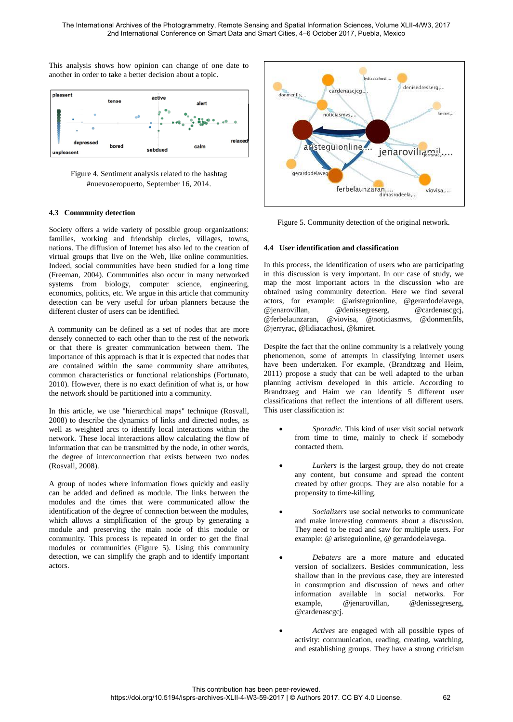This analysis shows how opinion can change of one date to another in order to take a better decision about a topic.



Figure 4. Sentiment analysis related to the hashtag #nuevoaeropuerto, September 16, 2014.

# **4.3 Community detection**

Society offers a wide variety of possible group organizations: families, working and friendship circles, villages, towns, nations. The diffusion of Internet has also led to the creation of virtual groups that live on the Web, like online communities. Indeed, social communities have been studied for a long time (Freeman, 2004). Communities also occur in many networked systems from biology, computer science, engineering, economics, politics, etc. We argue in this article that community detection can be very useful for urban planners because the different cluster of users can be identified.

A community can be defined as a set of nodes that are more densely connected to each other than to the rest of the network or that there is greater communication between them. The importance of this approach is that it is expected that nodes that are contained within the same community share attributes, common characteristics or functional relationships (Fortunato, 2010). However, there is no exact definition of what is, or how the network should be partitioned into a community.

In this article, we use "hierarchical maps" technique (Rosvall, 2008) to describe the dynamics of links and directed nodes, as well as weighted arcs to identify local interactions within the network. These local interactions allow calculating the flow of information that can be transmitted by the node, in other words, the degree of interconnection that exists between two nodes (Rosvall, 2008).

A group of nodes where information flows quickly and easily can be added and defined as module. The links between the modules and the times that were communicated allow the identification of the degree of connection between the modules, which allows a simplification of the group by generating a module and preserving the main node of this module or community. This process is repeated in order to get the final modules or communities (Figure 5). Using this community detection, we can simplify the graph and to identify important actors.





# **4.4 User identification and classification**

In this process, the identification of users who are participating in this discussion is very important. In our case of study, we map the most important actors in the discussion who are obtained using community detection. Here we find several actors, for example: @aristeguionline, @gerardodelavega, @jenarovillan, @denissegreserg, @cardenascgcj, @ferbelaunzaran, @viovisa, @noticiasmvs, @donmenfils, @jerryrac, @lidiacachosi, @kmiret.

Despite the fact that the online community is a relatively young phenomenon, some of attempts in classifying internet users have been undertaken. For example, (Brandtzæg and Heim, 2011) propose a study that can be well adapted to the urban planning activism developed in this article. According to Brandtzaeg and Haim we can identify 5 different user classifications that reflect the intentions of all different users. This user classification is:

- *Sporadic.* This kind of user visit social network from time to time, mainly to check if somebody contacted them.
- *Lurkers* is the largest group, they do not create any content, but consume and spread the content created by other groups. They are also notable for a propensity to time-killing.
- *Socializers* use social networks to communicate and make interesting comments about a discussion. They need to be read and saw for multiple users. For example: @ aristeguionline, @ gerardodelavega.
- *Debaters* are a more mature and educated version of socializers. Besides communication, less shallow than in the previous case, they are interested in consumption and discussion of news and other information available in social networks. For example, @jenarovillan, @denissegreserg, @cardenascgcj.
- *Actives* are engaged with all possible types of activity: communication, reading, creating, watching, and establishing groups. They have a strong criticism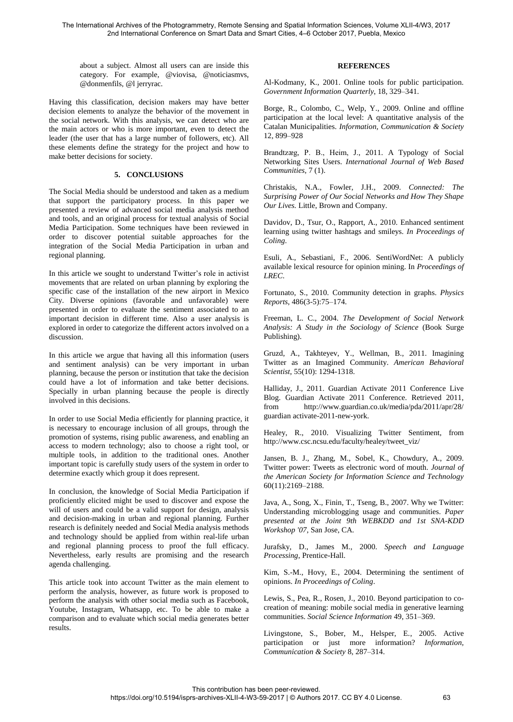about a subject. Almost all users can are inside this category. For example, @viovisa, @noticiasmvs, @donmenfils, @l jerryrac.

Having this classification, decision makers may have better decision elements to analyze the behavior of the movement in the social network. With this analysis, we can detect who are the main actors or who is more important, even to detect the leader (the user that has a large number of followers, etc). All these elements define the strategy for the project and how to make better decisions for society.

### **5. CONCLUSIONS**

The Social Media should be understood and taken as a medium that support the participatory process. In this paper we presented a review of advanced social media analysis method and tools, and an original process for textual analysis of Social Media Participation. Some techniques have been reviewed in order to discover potential suitable approaches for the integration of the Social Media Participation in urban and regional planning.

In this article we sought to understand Twitter's role in activist movements that are related on urban planning by exploring the specific case of the installation of the new airport in Mexico City. Diverse opinions (favorable and unfavorable) were presented in order to evaluate the sentiment associated to an important decision in different time. Also a user analysis is explored in order to categorize the different actors involved on a discussion.

In this article we argue that having all this information (users and sentiment analysis) can be very important in urban planning, because the person or institution that take the decision could have a lot of information and take better decisions. Specially in urban planning because the people is directly involved in this decisions.

In order to use Social Media efficiently for planning practice, it is necessary to encourage inclusion of all groups, through the promotion of systems, rising public awareness, and enabling an access to modern technology; also to choose a right tool, or multiple tools, in addition to the traditional ones. Another important topic is carefully study users of the system in order to determine exactly which group it does represent.

In conclusion, the knowledge of Social Media Participation if proficiently elicited might be used to discover and expose the will of users and could be a valid support for design, analysis and decision-making in urban and regional planning. Further research is definitely needed and Social Media analysis methods and technology should be applied from within real-life urban and regional planning process to proof the full efficacy. Nevertheless, early results are promising and the research agenda challenging.

This article took into account Twitter as the main element to perform the analysis, however, as future work is proposed to perform the analysis with other social media such as Facebook, Youtube, Instagram, Whatsapp, etc. To be able to make a comparison and to evaluate which social media generates better results.

# **REFERENCES**

Al-Kodmany, K., 2001. Online tools for public participation. *Government Information Quarterly*, 18, 329–341.

Borge, R., Colombo, C., Welp, Y., 2009. Online and offline participation at the local level: A quantitative analysis of the Catalan Municipalities. *Information, Communication & Society* 12, 899–928

Brandtzæg, P. B., Heim, J., 2011. A Typology of Social Networking Sites Users. *International Journal of Web Based Communities*, 7 (1).

Christakis, N.A., Fowler, J.H., 2009. *Connected: The Surprising Power of Our Social Networks and How They Shape Our Lives.* Little, Brown and Company.

Davidov, D., Tsur, O., Rapport, A., 2010. Enhanced sentiment learning using twitter hashtags and smileys. *In Proceedings of Coling*.

Esuli, A., Sebastiani, F., 2006. SentiWordNet: A publicly available lexical resource for opinion mining. In *Proceedings of LREC*.

Fortunato, S., 2010. Community detection in graphs. *Physics Reports*, 486(3-5):75–174.

Freeman, L. C., 2004. *The Development of Social Network Analysis: A Study in the Sociology of Science* (Book Surge Publishing).

Gruzd, A., Takhteyev, Y., Wellman, B., 2011. Imagining Twitter as an Imagined Community. *American Behavioral Scientist*, 55(10): 1294-1318.

Halliday, J., 2011. Guardian Activate 2011 Conference Live Blog. Guardian Activate 2011 Conference. Retrieved 2011, from http://www.guardian.co.uk/media/pda/2011/apr/28/ guardian activate-2011-new-york.

Healey, R., 2010. Visualizing Twitter Sentiment, from http://www.csc.ncsu.edu/faculty/healey/tweet\_viz/

Jansen, B. J., Zhang, M., Sobel, K., Chowdury, A., 2009. Twitter power: Tweets as electronic word of mouth*. Journal of the American Society for Information Science and Technology* 60(11):2169–2188.

Java, A., Song, X., Finin, T., Tseng, B., 2007. Why we Twitter: Understanding microblogging usage and communities. *Paper presented at the Joint 9th WEBKDD and 1st SNA-KDD Workshop '07*, San Jose, CA.

Jurafsky, D., James M., 2000. *Speech and Language Processing*, Prentice-Hall.

Kim, S.-M., Hovy, E., 2004. Determining the sentiment of opinions. *In Proceedings of Coling*.

Lewis, S., Pea, R., Rosen, J., 2010. Beyond participation to cocreation of meaning: mobile social media in generative learning communities. *Social Science Information* 49, 351–369.

Livingstone, S., Bober, M., Helsper, E., 2005. Active participation or just more information? *Information, Communication & Society* 8, 287–314.